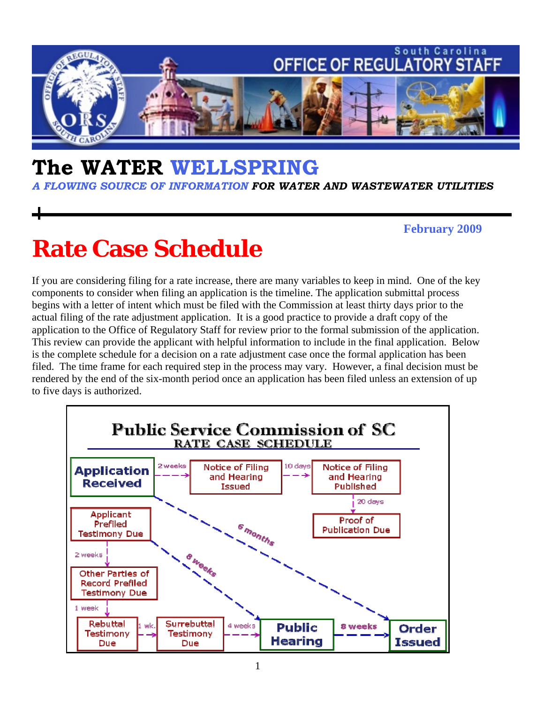

## **The WATER WELLSPRING**

*A FLOWING SOURCE OF INFORMATION FOR WATER AND WASTEWATER UTILITIES* 

#### **February 2009**

# **Rate Case Schedule**

If you are considering filing for a rate increase, there are many variables to keep in mind. One of the key components to consider when filing an application is the timeline. The application submittal process begins with a letter of intent which must be filed with the Commission at least thirty days prior to the actual filing of the rate adjustment application. It is a good practice to provide a draft copy of the application to the Office of Regulatory Staff for review prior to the formal submission of the application. This review can provide the applicant with helpful information to include in the final application. Below is the complete schedule for a decision on a rate adjustment case once the formal application has been filed. The time frame for each required step in the process may vary. However, a final decision must be rendered by the end of the six-month period once an application has been filed unless an extension of up to five days is authorized.

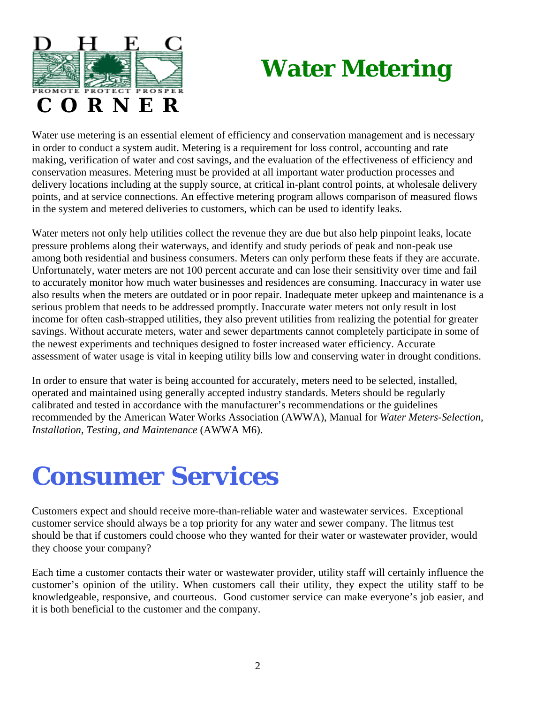



Water use metering is an essential element of efficiency and conservation management and is necessary in order to conduct a system audit. Metering is a requirement for loss control, accounting and rate making, verification of water and cost savings, and the evaluation of the effectiveness of efficiency and conservation measures. Metering must be provided at all important water production processes and delivery locations including at the supply source, at critical in-plant control points, at wholesale delivery points, and at service connections. An effective metering program allows comparison of measured flows in the system and metered deliveries to customers, which can be used to identify leaks.

Water meters not only help utilities collect the revenue they are due but also help pinpoint leaks, locate pressure problems along their waterways, and identify and study periods of peak and non-peak use among both residential and business consumers. Meters can only perform these feats if they are accurate. Unfortunately, water meters are not 100 percent accurate and can lose their sensitivity over time and fail to accurately monitor how much water businesses and residences are consuming. Inaccuracy in water use also results when the meters are outdated or in poor repair. Inadequate meter upkeep and maintenance is a serious problem that needs to be addressed promptly. Inaccurate water meters not only result in lost income for often cash-strapped utilities, they also prevent utilities from realizing the potential for greater savings. Without accurate meters, water and sewer departments cannot completely participate in some of the newest experiments and techniques designed to foster increased water efficiency. Accurate assessment of water usage is vital in keeping utility bills low and conserving water in drought conditions.

In order to ensure that water is being accounted for accurately, meters need to be selected, installed, operated and maintained using generally accepted industry standards. Meters should be regularly calibrated and tested in accordance with the manufacturer's recommendations or the guidelines recommended by the American Water Works Association (AWWA), Manual for *Water Meters-Selection, Installation, Testing, and Maintenance* (AWWA M6).

# *Consumer Services*

Customers expect and should receive more-than-reliable water and wastewater services. Exceptional customer service should always be a top priority for any water and sewer company. The litmus test should be that if customers could choose who they wanted for their water or wastewater provider, would they choose your company?

Each time a customer contacts their water or wastewater provider, utility staff will certainly influence the customer's opinion of the utility. When customers call their utility, they expect the utility staff to be knowledgeable, responsive, and courteous. Good customer service can make everyone's job easier, and it is both beneficial to the customer and the company.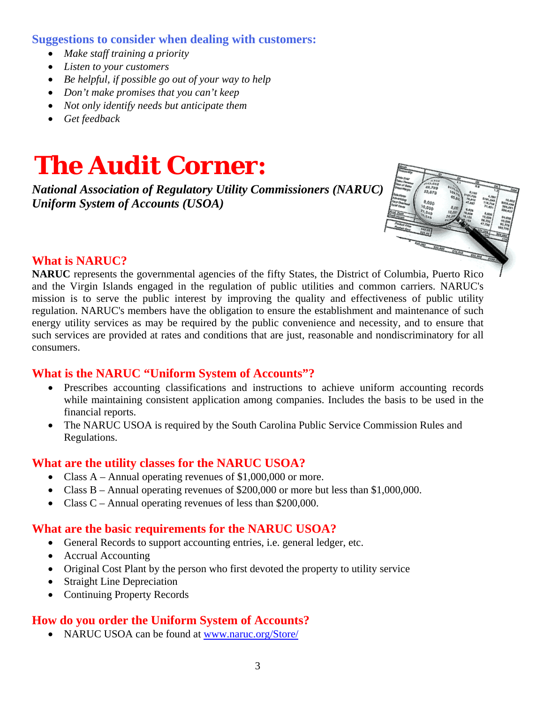#### **Suggestions to consider when dealing with customers:**

- *Make staff training a priority*
- *Listen to your customers*
- *Be helpful, if possible go out of your way to help*
- *Don't make promises that you can't keep*
- *Not only identify needs but anticipate them*
- *Get feedback*

# *The Audit Corner:*

*National Association of Regulatory Utility Commissioners (NARUC) Uniform System of Accounts (USOA)*



#### **What is NARUC?**

**NARUC** represents the governmental agencies of the fifty States, the District of Columbia, Puerto Rico and the Virgin Islands engaged in the regulation of public utilities and common carriers. NARUC's mission is to serve the public interest by improving the quality and effectiveness of public utility regulation. NARUC's members have the obligation to ensure the establishment and maintenance of such energy utility services as may be required by the public convenience and necessity, and to ensure that such services are provided at rates and conditions that are just, reasonable and nondiscriminatory for all consumers.

#### **What is the NARUC "Uniform System of Accounts"?**

- Prescribes accounting classifications and instructions to achieve uniform accounting records while maintaining consistent application among companies. Includes the basis to be used in the financial reports.
- The NARUC USOA is required by the South Carolina Public Service Commission Rules and Regulations.

#### **What are the utility classes for the NARUC USOA?**

- Class A Annual operating revenues of \$1,000,000 or more.
- Class B Annual operating revenues of \$200,000 or more but less than \$1,000,000.
- Class C Annual operating revenues of less than \$200,000.

#### **What are the basic requirements for the NARUC USOA?**

- General Records to support accounting entries, i.e. general ledger, etc.
- Accrual Accounting
- Original Cost Plant by the person who first devoted the property to utility service
- Straight Line Depreciation
- Continuing Property Records

#### **How do you order the Uniform System of Accounts?**

• NARUC USOA can be found at www.naruc.org/Store/